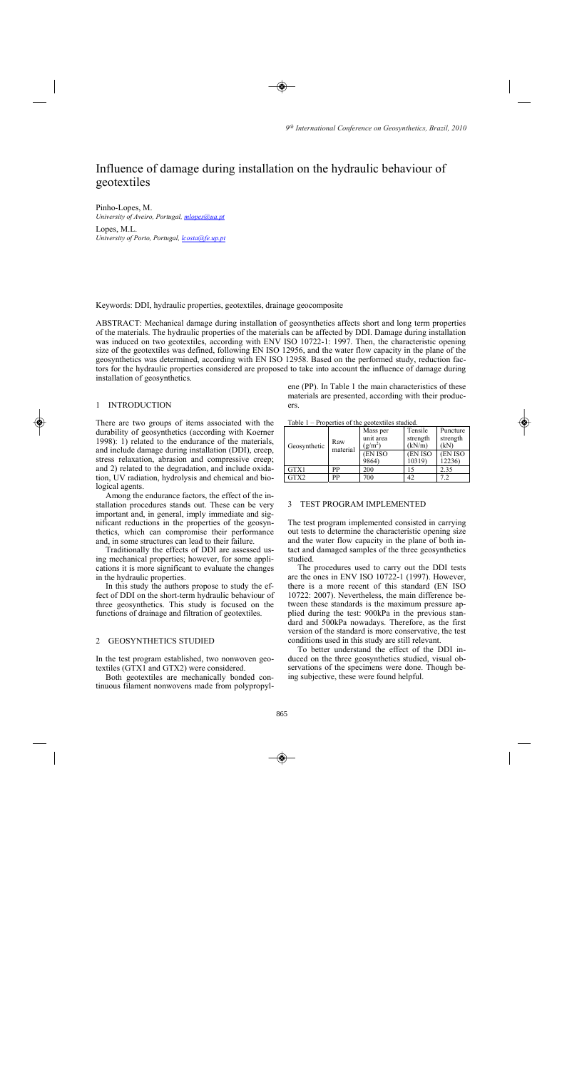# Influence of damage during installation on the hydraulic behaviour of geotextiles

Pinho-Lopes, M. *University of Aveiro, Portugal, mlopes@ua.pt* Lopes, M.L.

*University of Porto, Portugal, lcosta@fe.up.pt*

Keywords: DDI, hydraulic properties, geotextiles, drainage geocomposite

ABSTRACT: Mechanical damage during installation of geosynthetics affects short and long term properties of the materials. The hydraulic properties of the materials can be affected by DDI. Damage during installation was induced on two geotextiles, according with ENV ISO 10722-1: 1997. Then, the characteristic opening size of the geotextiles was defined, following EN ISO 12956, and the water flow capacity in the plane of the geosynthetics was determined, according with EN ISO 12958. Based on the performed study, reduction factors for the hydraulic properties considered are proposed to take into account the influence of damage during installation of geosynthetics.

# 1 INTRODUCTION

There are two groups of items associated with the durability of geosynthetics (according with Koerner 1998): 1) related to the endurance of the materials, and include damage during installation (DDI), creep, stress relaxation, abrasion and compressive creep; and 2) related to the degradation, and include oxidation, UV radiation, hydrolysis and chemical and biological agents.

Among the endurance factors, the effect of the installation procedures stands out. These can be very important and, in general, imply immediate and significant reductions in the properties of the geosynthetics, which can compromise their performance and, in some structures can lead to their failure.

Traditionally the effects of DDI are assessed using mechanical properties; however, for some applications it is more significant to evaluate the changes in the hydraulic properties.

In this study the authors propose to study the effect of DDI on the short-term hydraulic behaviour of three geosynthetics. This study is focused on the functions of drainage and filtration of geotextiles.

# 2 GEOSYNTHETICS STUDIED

In the test program established, two nonwoven geotextiles (GTX1 and GTX2) were considered.

Both geotextiles are mechanically bonded continuous filament nonwovens made from polypropylene (PP). In Table 1 the main characteristics of these materials are presented, according with their producers.

| Table $1$ – Properties of the geotextiles studied. |  |  |
|----------------------------------------------------|--|--|
|                                                    |  |  |

| Geosynthetic | Raw<br>material | Mass per<br>unit area<br>$(g/m^2)$ | Tensile<br>strength<br>(kN/m) | Puncture<br>strength<br>(kN) |
|--------------|-----------------|------------------------------------|-------------------------------|------------------------------|
|              |                 | (EN ISO<br>9864)                   | (EN ISO<br>10319)             | (EN ISO)<br>12236)           |
| GTX1         | РP              | 200                                |                               | 2.35                         |
| GTX2         | РP              | 700                                |                               |                              |

# 3 TEST PROGRAM IMPLEMENTED

The test program implemented consisted in carrying out tests to determine the characteristic opening size and the water flow capacity in the plane of both intact and damaged samples of the three geosynthetics studied.

The procedures used to carry out the DDI tests are the ones in ENV ISO 10722-1 (1997). However, there is a more recent of this standard (EN ISO 10722: 2007). Nevertheless, the main difference between these standards is the maximum pressure applied during the test: 900kPa in the previous standard and 500kPa nowadays. Therefore, as the first version of the standard is more conservative, the test conditions used in this study are still relevant.

To better understand the effect of the DDI induced on the three geosynthetics studied, visual observations of the specimens were done. Though being subjective, these were found helpful.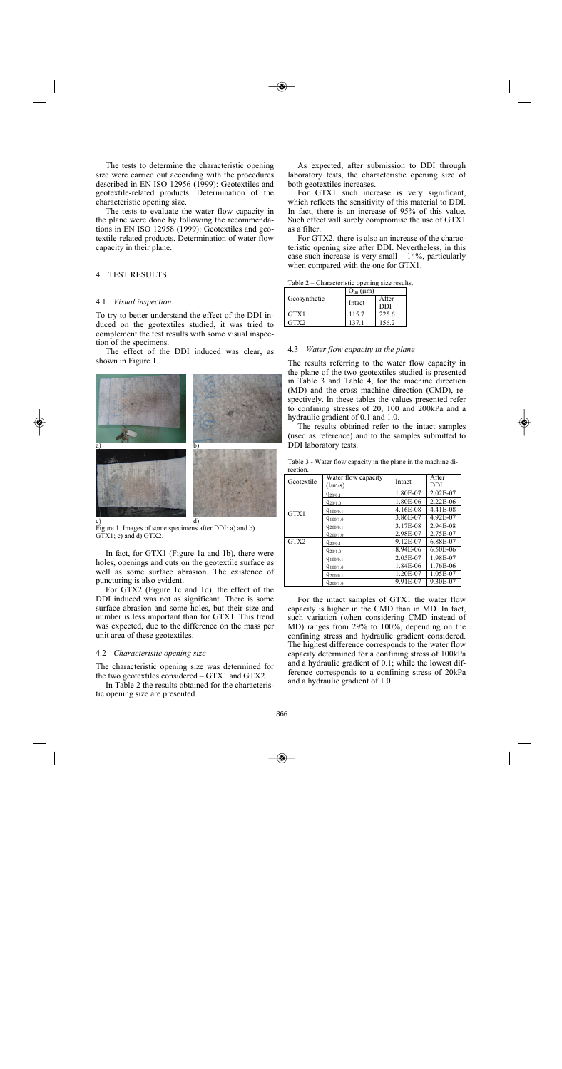The tests to determine the characteristic opening size were carried out according with the procedures described in EN ISO 12956 (1999): Geotextiles and geotextile-related products. Determination of the characteristic opening size.

The tests to evaluate the water flow capacity in the plane were done by following the recommendations in EN ISO 12958 (1999): Geotextiles and geotextile-related products. Determination of water flow capacity in their plane.

# 4 TEST RESULTS

#### 4.1 *Visual inspection*

To try to better understand the effect of the DDI induced on the geotextiles studied, it was tried to complement the test results with some visual inspection of the specimens.

The effect of the DDI induced was clear, as shown in Figure 1.



Figure 1. Images of some specimens after DDI: a) and b) GTX1; c) and d) GTX2.

In fact, for GTX1 (Figure 1a and 1b), there were holes, openings and cuts on the geotextile surface as well as some surface abrasion. The existence of puncturing is also evident.

For GTX2 (Figure 1c and 1d), the effect of the DDI induced was not as significant. There is some surface abrasion and some holes, but their size and number is less important than for GTX1. This trend was expected, due to the difference on the mass per unit area of these geotextiles.

#### 4.2 *Characteristic opening size*

The characteristic opening size was determined for the two geotextiles considered – GTX1 and GTX2.

In Table 2 the results obtained for the characteristic opening size are presented.

As expected, after submission to DDI through laboratory tests, the characteristic opening size of both geotextiles increases.

For GTX1 such increase is very significant, which reflects the sensitivity of this material to DDI. In fact, there is an increase of 95% of this value. Such effect will surely compromise the use of GTX1 as a filter.

For GTX2, there is also an increase of the characteristic opening size after DDI. Nevertheless, in this case such increase is very small – 14%, particularly when compared with the one for GTX1.

Table 2 – Characteristic opening size results.

|              | $O_{90} (\mu m)$ |               |  |
|--------------|------------------|---------------|--|
| Geosynthetic | Intact           | <b>A</b> fter |  |
|              |                  | <b>DDI</b>    |  |
| GTX1         | 115.7            | 225.6         |  |
| GTX2         | 1371             | 156.2         |  |

# 4.3 *Water flow capacity in the plane*

The results referring to the water flow capacity in the plane of the two geotextiles studied is presented in Table 3 and Table 4, for the machine direction (MD) and the cross machine direction (CMD), respectively. In these tables the values presented refer to confining stresses of 20, 100 and 200kPa and a hydraulic gradient of 0.1 and 1.0.

The results obtained refer to the intact samples (used as reference) and to the samples submitted to DDI laboratory tests.

Geotextile Water flow capacity Intact After DDI DDI GTX1  $q_{20/0.1}$  1.80E-07 2.02E-07<br> $q_{20/1.0}$  1.80E-06 2.22E-06  $q_{20/1.0}$  1.80E-06 2.22E-06<br> $q_{100/0.1}$  4.16E-08 4.41E-08  $q_{100/0.1}$  4.16E-08 4.41E-08<br> $q_{100/0.1}$  3.86E-07 4.92E-07 q<sub>100/1.0</sub> 3.86E-07 4.92E-07<br>3.17E-08 2.94E-08 q<sub>200/0.1</sub> 3.17E-08 2.94E-08<br>
q<sub>200/16</sub> 2.94E-07 2.75E-07  $q_{200/1.0}$  2.98E-07<br> $q_{200/1.0}$  9.12E-07 GTX2  $q_{20/0.1}$  9.12E-07 6.88E-07  $\frac{q_{20/1.0}}{q_{100/0.1}}$  8.94E-06 6.50E-06<br> $\frac{q_{20/1.0}}{q_{100/0.1}}$  2.05E-07 1.98E-07  $q_{100/0.1}$  2.05E-07 1.98E-07<br> $q_{100/1.0}$  1.84E-06 1.76E-06 q<sub>100/1.0</sub> 1.84E-06 1.76E-06 q<sub>200/0.1</sub> 1.20E-07 1.05E-07 q<sub>200/1.0</sub> 9.91E-07 9.30E-07

Table 3 - Water flow capacity in the plane in the machine direction.

For the intact samples of GTX1 the water flow capacity is higher in the CMD than in MD. In fact, such variation (when considering CMD instead of MD) ranges from 29% to 100%, depending on the confining stress and hydraulic gradient considered. The highest difference corresponds to the water flow capacity determined for a confining stress of 100kPa and a hydraulic gradient of 0.1; while the lowest difference corresponds to a confining stress of 20kPa and a hydraulic gradient of 1.0.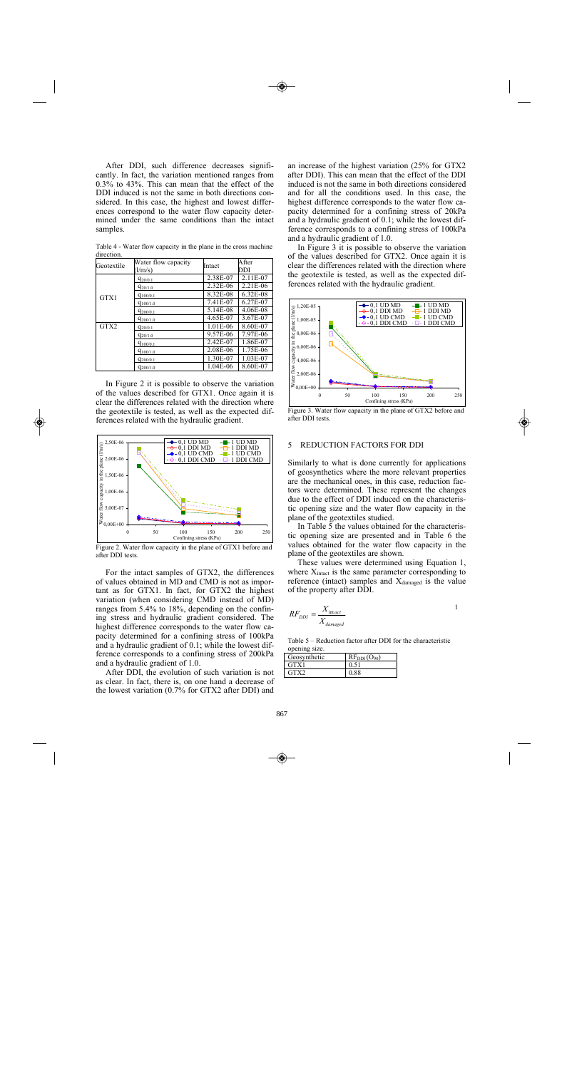After DDI, such difference decreases significantly. In fact, the variation mentioned ranges from 0.3% to 43%. This can mean that the effect of the DDI induced is not the same in both directions considered. In this case, the highest and lowest differences correspond to the water flow capacity determined under the same conditions than the intact samples.

| Geotextile | Water flow capacity | Intact   | After    |
|------------|---------------------|----------|----------|
|            | (l/m/s)             |          | DDI      |
|            | $q_{20/0.1}$        | 2.38E-07 | 2.11E-07 |
| GTX1       | $q_{20/1.0}$        | 2.32E-06 | 2.21E-06 |
|            | $q_{100/0.1}$       | 8.32E-08 | 6.32E-08 |
|            | $q_{100/1.0}$       | 7.41E-07 | 6.27E-07 |
|            | $q_{200/0.1}$       | 5.14E-08 | 4.06E-08 |
|            | $q_{200/1.0}$       | 4.65E-07 | 3.67E-07 |
| GTX2       | $q_{20/0.1}$        | 1.01E-06 | 8.60E-07 |
|            | $q_{20/1.0}$        | 9.57E-06 | 7.97E-06 |
|            | $q_{100/0.1}$       | 2.42E-07 | 1.86E-07 |
|            | $q_{100/1.0}$       | 2.08E-06 | 1.75E-06 |
|            | $q_{200/0.1}$       | 1.30E-07 | 1.03E-07 |
|            | $q_{200/1.0}$       | 1.04E-06 | 8.60E-07 |

Table 4 - Water flow capacity in the plane in the cross machine direction.

In Figure 2 it is possible to observe the variation of the values described for GTX1. Once again it is clear the differences related with the direction where the geotextile is tested, as well as the expected differences related with the hydraulic gradient.



Figure 2. Water flow capacity in the plane of GTX1 before and after DDI tests.

For the intact samples of GTX2, the differences of values obtained in MD and CMD is not as important as for GTX1. In fact, for GTX2 the highest variation (when considering CMD instead of MD) ranges from 5.4% to 18%, depending on the confining stress and hydraulic gradient considered. The highest difference corresponds to the water flow capacity determined for a confining stress of 100kPa and a hydraulic gradient of 0.1; while the lowest difference corresponds to a confining stress of 200kPa and a hydraulic gradient of 1.0.

After DDI, the evolution of such variation is not as clear. In fact, there is, on one hand a decrease of the lowest variation (0.7% for GTX2 after DDI) and

an increase of the highest variation (25% for GTX2 after DDI). This can mean that the effect of the DDI induced is not the same in both directions considered and for all the conditions used. In this case, the highest difference corresponds to the water flow capacity determined for a confining stress of 20kPa and a hydraulic gradient of 0.1; while the lowest difference corresponds to a confining stress of 100kPa and a hydraulic gradient of 1.0.

In Figure 3 it is possible to observe the variation of the values described for GTX2. Once again it is clear the differences related with the direction where the geotextile is tested, as well as the expected differences related with the hydraulic gradient.



Figure 3. Water flow capacity in the plane of GTX2 before and after DDI tests.

# 5 REDUCTION FACTORS FOR DDI

Similarly to what is done currently for applications of geosynthetics where the more relevant properties are the mechanical ones, in this case, reduction factors were determined. These represent the changes due to the effect of DDI induced on the characteristic opening size and the water flow capacity in the plane of the geotextiles studied.

In Table 5 the values obtained for the characteristic opening size are presented and in Table 6 the values obtained for the water flow capacity in the plane of the geotextiles are shown.

These values were determined using Equation 1, where  $X<sub>inter</sub>$  is the same parameter corresponding to reference (intact) samples and  $X_{\text{damaged}}$  is the value of the property after DDI.

$$
RF_{DDI} = \frac{X_{\text{int.act}}}{X_{damped}}
$$

Table 5 – Reduction factor after DDI for the characteristic opening size.

| Geosynthetic | $RF_{DDI}(O_{90})$ |
|--------------|--------------------|
| GTX1         |                    |
| GTX2         |                    |